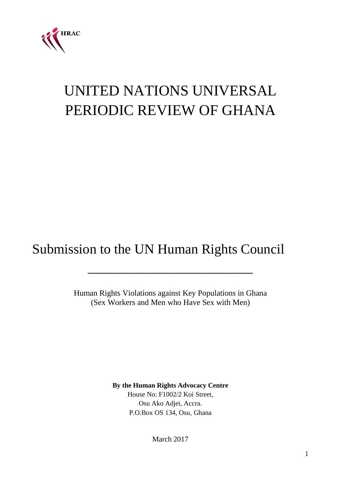

# UNITED NATIONS UNIVERSAL PERIODIC REVIEW OF GHANA

## Submission to the UN Human Rights Council

Human Rights Violations against Key Populations in Ghana (Sex Workers and Men who Have Sex with Men)

\_\_\_\_\_\_\_\_\_\_\_\_\_\_\_\_\_\_\_\_\_\_\_\_

**By the Human Rights Advocacy Centre** House No: F1002/2 Koi Street, Osu Ako Adjei, Accra. P.O.Box OS 134, Osu, Ghana

March 2017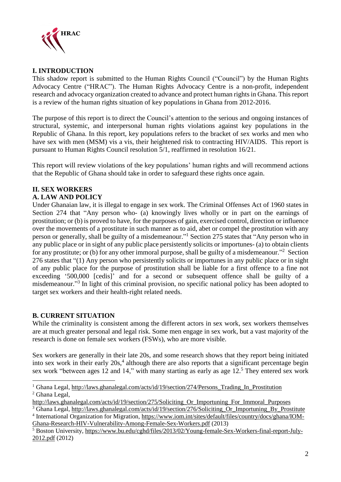

#### **I. INTRODUCTION**

This shadow report is submitted to the Human Rights Council ("Council") by the Human Rights Advocacy Centre ("HRAC"). The Human Rights Advocacy Centre is a non-profit, independent research and advocacy organization created to advance and protect human rightsin Ghana. Thisreport is a review of the human rights situation of key populations in Ghana from 2012-2016.

The purpose of this report is to direct the Council's attention to the serious and ongoing instances of structural, systemic, and interpersonal human rights violations against key populations in the Republic of Ghana. In this report, key populations refers to the bracket of sex works and men who have sex with men (MSM) vis a vis, their heightened risk to contracting HIV/AIDS. This report is pursuant to Human Rights Council resolution 5/1, reaffirmed in resolution 16/21.

This report will review violations of the key populations' human rights and will recommend actions that the Republic of Ghana should take in order to safeguard these rights once again.

#### **II. SEX WORKERS A. LAW AND POLICY**

Under Ghanaian law, it is illegal to engage in sex work. The Criminal Offenses Act of 1960 states in Section 274 that "Any person who- (a) knowingly lives wholly or in part on the earnings of prostitution; or (b) is proved to have, for the purposes of gain, exercised control, direction or influence over the movements of a prostitute in such manner as to aid, abet or compel the prostitution with any person or generally, shall be guilty of a misdemeanour."<sup>1</sup> Section 275 states that "Any person who in any public place or in sight of any public place persistently solicits or importunes- (a) to obtain clients for any prostitute; or (b) for any other immoral purpose, shall be guilty of a misdemeanour."<sup>2</sup> Section 276 states that "(1) Any person who persistently solicits or importunes in any public place or in sight of any public place for the purpose of prostitution shall be liable for a first offence to a fine not exceeding '500,000 [cedis]' and for a second or subsequent offence shall be guilty of a misdemeanour."<sup>3</sup> In light of this criminal provision, no specific national policy has been adopted to target sex workers and their health-right related needs.

### **B. CURRENT SITUATION**

While the criminality is consistent among the different actors in sex work, sex workers themselves are at much greater personal and legal risk. Some men engage in sex work, but a vast majority of the research is done on female sex workers (FSWs), who are more visible.

Sex workers are generally in their late 20s, and some research shows that they report being initiated into sex work in their early 20s,<sup>4</sup> although there are also reports that a significant percentage begin sex work "between ages 12 and 14," with many starting as early as age 12.<sup>5</sup> They entered sex work

1 <sup>1</sup> Ghana Legal, [http://laws.ghanalegal.com/acts/id/19/section/274/Persons\\_Trading\\_In\\_Prostitution](http://laws.ghanalegal.com/acts/id/19/section/274/Persons_Trading_In_Prostitution) <sup>2</sup> Ghana Legal,

[Ghana-Research-HIV-Vulnerability-Among-Female-Sex-Workers.pdf](https://www.iom.int/sites/default/files/country/docs/ghana/IOM-Ghana-Research-HIV-Vulnerability-Among-Female-Sex-Workers.pdf) (2013)

[http://laws.ghanalegal.com/acts/id/19/section/275/Soliciting\\_Or\\_Importuning\\_For\\_Immoral\\_Purposes](http://laws.ghanalegal.com/acts/id/19/section/275/Soliciting_Or_Importuning_For_Immoral_Purposes)

<sup>&</sup>lt;sup>3</sup> Ghana Legal, [http://laws.ghanalegal.com/acts/id/19/section/276/Soliciting\\_Or\\_Importuning\\_By\\_Prostitute](http://laws.ghanalegal.com/acts/id/19/section/276/Soliciting_Or_Importuning_By_Prostitute) <sup>4</sup> International Organization for Migration, [https://www.iom.int/sites/default/files/country/docs/ghana/IOM-](https://www.iom.int/sites/default/files/country/docs/ghana/IOM-Ghana-Research-HIV-Vulnerability-Among-Female-Sex-Workers.pdf)

<sup>5</sup> Boston University, [https://www.bu.edu/cghd/files/2013/02/Young-female-Sex-Workers-final-report-July-](https://www.bu.edu/cghd/files/2013/02/Young-female-Sex-Workers-final-report-July-2012.pdf)[2012.pdf](https://www.bu.edu/cghd/files/2013/02/Young-female-Sex-Workers-final-report-July-2012.pdf) (2012)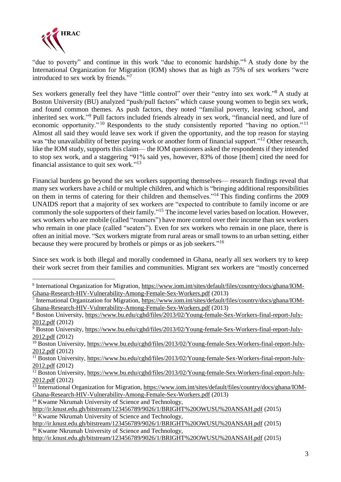

<u>.</u>

"due to poverty" and continue in this work "due to economic hardship."<sup>6</sup> A study done by the International Organization for Migration (IOM) shows that as high as 75% of sex workers "were introduced to sex work by friends."<sup>7</sup>

Sex workers generally feel they have "little control" over their "entry into sex work."<sup>8</sup> A study at Boston University (BU) analyzed "push/pull factors" which cause young women to begin sex work, and found common themes. As push factors, they noted "familial poverty, leaving school, and inherited sex work."<sup>9</sup> Pull factors included friends already in sex work, "financial need, and lure of economic opportunity."<sup>10</sup> Respondents to the study consistently reported "having no option."<sup>11</sup> Almost all said they would leave sex work if given the opportunity, and the top reason for staying was "the unavailability of better paying work or another form of financial support."<sup>12</sup> Other research, like the IOM study, supports this claim— the IOM questioners asked the respondents if they intended to stop sex work, and a staggering "91% said yes, however, 83% of those [them] cited the need for financial assistance to quit sex work."<sup>13</sup>

Financial burdens go beyond the sex workers supporting themselves— research findings reveal that many sex workers have a child or multiple children, and which is "bringing additional responsibilities on them in terms of catering for their children and themselves."<sup>14</sup> This finding confirms the 2009 UNAIDS report that a majority of sex workers are "expected to contribute to family income or are commonly the sole supporters of their family."<sup>15</sup> The income level varies based on location. However, sex workers who are mobile (called "roamers") have more control over their income than sex workers who remain in one place (called "seaters"). Even for sex workers who remain in one place, there is often an initial move. "Sex workers migrate from rural areas or small towns to an urban setting, either because they were procured by brothels or pimps or as job seekers."<sup>16</sup>

Since sex work is both illegal and morally condemned in Ghana, nearly all sex workers try to keep their work secret from their families and communities. Migrant sex workers are "mostly concerned

<sup>&</sup>lt;sup>6</sup> International Organization for Migration, [https://www.iom.int/sites/default/files/country/docs/ghana/IOM-](https://www.iom.int/sites/default/files/country/docs/ghana/IOM-Ghana-Research-HIV-Vulnerability-Among-Female-Sex-Workers.pdf)[Ghana-Research-HIV-Vulnerability-Among-Female-Sex-Workers.pdf](https://www.iom.int/sites/default/files/country/docs/ghana/IOM-Ghana-Research-HIV-Vulnerability-Among-Female-Sex-Workers.pdf) (2013)

<sup>7</sup> International Organization for Migration, [https://www.iom.int/sites/default/files/country/docs/ghana/IOM-](https://www.iom.int/sites/default/files/country/docs/ghana/IOM-Ghana-Research-HIV-Vulnerability-Among-Female-Sex-Workers.pdf)[Ghana-Research-HIV-Vulnerability-Among-Female-Sex-Workers.pdf](https://www.iom.int/sites/default/files/country/docs/ghana/IOM-Ghana-Research-HIV-Vulnerability-Among-Female-Sex-Workers.pdf) (2013)

<sup>8</sup> Boston University, [https://www.bu.edu/cghd/files/2013/02/Young-female-Sex-Workers-final-report-July-](https://www.bu.edu/cghd/files/2013/02/Young-female-Sex-Workers-final-report-July-2012.pdf)[2012.pdf](https://www.bu.edu/cghd/files/2013/02/Young-female-Sex-Workers-final-report-July-2012.pdf) (2012)

<sup>9</sup> Boston University, [https://www.bu.edu/cghd/files/2013/02/Young-female-Sex-Workers-final-report-July-](https://www.bu.edu/cghd/files/2013/02/Young-female-Sex-Workers-final-report-July-2012.pdf)[2012.pdf](https://www.bu.edu/cghd/files/2013/02/Young-female-Sex-Workers-final-report-July-2012.pdf) (2012)

<sup>&</sup>lt;sup>10</sup> Boston University, https://ww<u>w.bu.edu/cghd/files/2013/02/Young-female-Sex-Workers-final-report-July-</u> [2012.pdf](https://www.bu.edu/cghd/files/2013/02/Young-female-Sex-Workers-final-report-July-2012.pdf) (2012)

<sup>11</sup> Boston University, [https://www.bu.edu/cghd/files/2013/02/Young-female-Sex-Workers-final-report-July-](https://www.bu.edu/cghd/files/2013/02/Young-female-Sex-Workers-final-report-July-2012.pdf)[2012.pdf](https://www.bu.edu/cghd/files/2013/02/Young-female-Sex-Workers-final-report-July-2012.pdf) (2012)

<sup>&</sup>lt;sup>12</sup> Boston University, [https://www.bu.edu/cghd/files/2013/02/Young-female-Sex-Workers-final-report-July-](https://www.bu.edu/cghd/files/2013/02/Young-female-Sex-Workers-final-report-July-2012.pdf)[2012.pdf](https://www.bu.edu/cghd/files/2013/02/Young-female-Sex-Workers-final-report-July-2012.pdf) (2012)

<sup>&</sup>lt;sup>13</sup> International Organization for Migration, [https://www.iom.int/sites/default/files/country/docs/ghana/IOM-](https://www.iom.int/sites/default/files/country/docs/ghana/IOM-Ghana-Research-HIV-Vulnerability-Among-Female-Sex-Workers.pdf)[Ghana-Research-HIV-Vulnerability-Among-Female-Sex-Workers.pdf](https://www.iom.int/sites/default/files/country/docs/ghana/IOM-Ghana-Research-HIV-Vulnerability-Among-Female-Sex-Workers.pdf) (2013)

<sup>&</sup>lt;sup>14</sup> Kwame Nkrumah University of Science and Technology, <http://ir.knust.edu.gh/bitstream/123456789/9026/1/BRIGHT%20OWUSU%20ANSAH.pdf> (2015)

<sup>&</sup>lt;sup>15</sup> Kwame Nkrumah University of Science and Technology,

<http://ir.knust.edu.gh/bitstream/123456789/9026/1/BRIGHT%20OWUSU%20ANSAH.pdf> (2015) <sup>16</sup> Kwame Nkrumah University of Science and Technology,

<http://ir.knust.edu.gh/bitstream/123456789/9026/1/BRIGHT%20OWUSU%20ANSAH.pdf> (2015)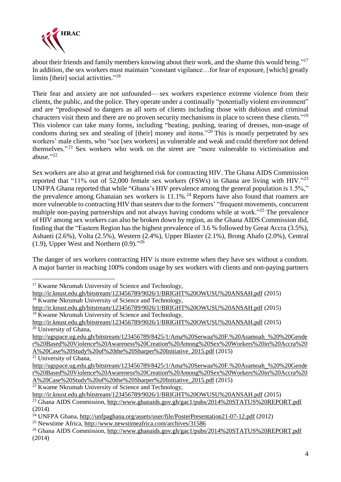

about their friends and family members knowing about their work, and the shame this would bring."<sup>17</sup> In addition, the sex workers must maintain "constant vigilance... for fear of exposure, [which] greatly limits [their] social activities."<sup>18</sup>

Their fear and anxiety are not unfounded— sex workers experience extreme violence from their clients, the public, and the police. They operate under a continually "potentially violent environment" and are "predisposed to dangers as all sorts of clients including those with dubious and criminal characters visit them and there are no proven security mechanisms in place to screen these clients."<sup>19</sup> This violence can take many forms, including "beating, pushing, tearing of dresses, non-usage of condoms during sex and stealing of [their] money and items." $^{20}$  This is mostly perpetrated by sex workers' male clients, who "see [sex workers] as vulnerable and weak and could therefore not defend themselves."<sup>21</sup> Sex workers who work on the street are "more vulnerable to victimisation and abuse." 22

Sex workers are also at great and heightened risk for contracting HIV. The Ghana AIDS Commission reported that "11% out of 52,000 female sex workers (FSWs) in Ghana are living with HIV."<sup>23</sup> UNFPA Ghana reported that while "Ghana's HIV prevalence among the general population is 1.5%," the prevalence among Ghanaian sex workers is 11.1%.<sup>24</sup> Reports have also found that roamers are more vulnerable to contracting HIV than seaters due to the formers' "frequent movements, concurrent multiple non-paying partnerships and not always having condoms while at work."<sup>25</sup> The prevalence of HIV among sex workers can also be broken down by region, as the Ghana AIDS Commission did, finding that the "Eastern Region has the highest prevalence of 3.6 % followed by Great Accra (3.5%), Ashanti (2.6%), Volta (2.5%), Western (2.4%), Upper Blaster (2.1%), Brong Ahafo (2.0%), Central  $(1.9)$ , Upper West and Northern  $(0.9)$ ."<sup>26</sup>

The danger of sex workers contracting HIV is more extreme when they have sex without a condom. A major barrier in reaching 100% condom usage by sex workers with clients and non-paying partners

<sup>21</sup> University of Ghana,

<u>.</u>

 $22$  Kwame Nkrumah University of Science and Technology,

<http://ir.knust.edu.gh/bitstream/123456789/9026/1/BRIGHT%20OWUSU%20ANSAH.pdf> (2015)

<sup>&</sup>lt;sup>17</sup> Kwame Nkrumah University of Science and Technology,

<http://ir.knust.edu.gh/bitstream/123456789/9026/1/BRIGHT%20OWUSU%20ANSAH.pdf> (2015) <sup>18</sup> Kwame Nkrumah University of Science and Technology,

<http://ir.knust.edu.gh/bitstream/123456789/9026/1/BRIGHT%20OWUSU%20ANSAH.pdf> (2015)  $19$  Kwame Nkrumah University of Science and Technology,

<http://ir.knust.edu.gh/bitstream/123456789/9026/1/BRIGHT%20OWUSU%20ANSAH.pdf> (2015)  $20$  University of Ghana,

[http://ugspace.ug.edu.gh/bitstream/123456789/8425/1/Ama%20Serwaa%20F.%20Asamoah\\_%20%20Gende](http://ugspace.ug.edu.gh/bitstream/123456789/8425/1/Ama%20Serwaa%20F.%20Asamoah_%20%20Gender%20Based%20Violence%20Awareness%20Creation%20Among%20Sex%20Workers%20in%20Accra%20A%20Case%20Study%20of%20the%20Sharper%20Initiative_2015.pdf) [r%20Based%20Violence%20Awareness%20Creation%20Among%20Sex%20Workers%20in%20Accra%20](http://ugspace.ug.edu.gh/bitstream/123456789/8425/1/Ama%20Serwaa%20F.%20Asamoah_%20%20Gender%20Based%20Violence%20Awareness%20Creation%20Among%20Sex%20Workers%20in%20Accra%20A%20Case%20Study%20of%20the%20Sharper%20Initiative_2015.pdf) [A%20Case%20Study%20of%20the%20Sharper%20Initiative\\_2015.pdf](http://ugspace.ug.edu.gh/bitstream/123456789/8425/1/Ama%20Serwaa%20F.%20Asamoah_%20%20Gender%20Based%20Violence%20Awareness%20Creation%20Among%20Sex%20Workers%20in%20Accra%20A%20Case%20Study%20of%20the%20Sharper%20Initiative_2015.pdf) (2015)

[http://ugspace.ug.edu.gh/bitstream/123456789/8425/1/Ama%20Serwaa%20F.%20Asamoah\\_%20%20Gende](http://ugspace.ug.edu.gh/bitstream/123456789/8425/1/Ama%20Serwaa%20F.%20Asamoah_%20%20Gender%20Based%20Violence%20Awareness%20Creation%20Among%20Sex%20Workers%20in%20Accra%20A%20Case%20Study%20of%20the%20Sharper%20Initiative_2015.pdf) [r%20Based%20Violence%20Awareness%20Creation%20Among%20Sex%20Workers%20in%20Accra%20](http://ugspace.ug.edu.gh/bitstream/123456789/8425/1/Ama%20Serwaa%20F.%20Asamoah_%20%20Gender%20Based%20Violence%20Awareness%20Creation%20Among%20Sex%20Workers%20in%20Accra%20A%20Case%20Study%20of%20the%20Sharper%20Initiative_2015.pdf) [A%20Case%20Study%20of%20the%20Sharper%20Initiative\\_2015.pdf](http://ugspace.ug.edu.gh/bitstream/123456789/8425/1/Ama%20Serwaa%20F.%20Asamoah_%20%20Gender%20Based%20Violence%20Awareness%20Creation%20Among%20Sex%20Workers%20in%20Accra%20A%20Case%20Study%20of%20the%20Sharper%20Initiative_2015.pdf) (2015)

<sup>&</sup>lt;sup>23</sup> Ghana AIDS Commission, <http://www.ghanaids.gov.gh/gac1/pubs/2014%20STATUS%20REPORT.pdf> (2014)

<sup>24</sup> UNFPA Ghana, <http://unfpaghana.org/assets/user/file/PosterPresentation21-07-12.pdf> (2012)

<sup>25</sup> Newstime Africa, <http://www.newstimeafrica.com/archives/31586>

<sup>&</sup>lt;sup>26</sup> Ghana AIDS Commission, <http://www.ghanaids.gov.gh/gac1/pubs/2014%20STATUS%20REPORT.pdf> (2014)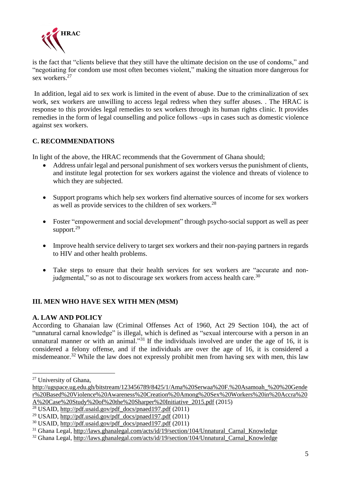

is the fact that "clients believe that they still have the ultimate decision on the use of condoms," and "negotiating for condom use most often becomes violent," making the situation more dangerous for sex workers.<sup>27</sup>

In addition, legal aid to sex work is limited in the event of abuse. Due to the criminalization of sex work, sex workers are unwilling to access legal redress when they suffer abuses. . The HRAC is response to this provides legal remedies to sex workers through its human rights clinic. It provides remedies in the form of legal counselling and police follows –ups in cases such as domestic violence against sex workers.

#### **C. RECOMMENDATIONS**

In light of the above, the HRAC recommends that the Government of Ghana should;

- Address unfair legal and personal punishment of sex workers versus the punishment of clients, and institute legal protection for sex workers against the violence and threats of violence to which they are subjected.
- Support programs which help sex workers find alternative sources of income for sex workers as well as provide services to the children of sex workers.<sup>28</sup>
- Foster "empowerment and social development" through psycho-social support as well as peer support.<sup>29</sup>
- Improve health service delivery to target sex workers and their non-paying partners in regards to HIV and other health problems.
- Take steps to ensure that their health services for sex workers are "accurate and nonjudgmental," so as not to discourage sex workers from access health care.<sup>30</sup>

#### **III. MEN WHO HAVE SEX WITH MEN (MSM)**

#### **A. LAW AND POLICY**

According to Ghanaian law (Criminal Offenses Act of 1960, Act 29 Section 104), the act of "unnatural carnal knowledge" is illegal, which is defined as "sexual intercourse with a person in an unnatural manner or with an animal."<sup>31</sup> If the individuals involved are under the age of 16, it is considered a felony offense, and if the individuals are over the age of 16, it is considered a misdemeanor.<sup>32</sup> While the law does not expressly prohibit men from having sex with men, this law

<u>.</u>

<sup>27</sup> University of Ghana,

[http://ugspace.ug.edu.gh/bitstream/123456789/8425/1/Ama%20Serwaa%20F.%20Asamoah\\_%20%20Gende](http://ugspace.ug.edu.gh/bitstream/123456789/8425/1/Ama%20Serwaa%20F.%20Asamoah_%20%20Gender%20Based%20Violence%20Awareness%20Creation%20Among%20Sex%20Workers%20in%20Accra%20A%20Case%20Study%20of%20the%20Sharper%20Initiative_2015.pdf) [r%20Based%20Violence%20Awareness%20Creation%20Among%20Sex%20Workers%20in%20Accra%20](http://ugspace.ug.edu.gh/bitstream/123456789/8425/1/Ama%20Serwaa%20F.%20Asamoah_%20%20Gender%20Based%20Violence%20Awareness%20Creation%20Among%20Sex%20Workers%20in%20Accra%20A%20Case%20Study%20of%20the%20Sharper%20Initiative_2015.pdf) [A%20Case%20Study%20of%20the%20Sharper%20Initiative\\_2015.pdf](http://ugspace.ug.edu.gh/bitstream/123456789/8425/1/Ama%20Serwaa%20F.%20Asamoah_%20%20Gender%20Based%20Violence%20Awareness%20Creation%20Among%20Sex%20Workers%20in%20Accra%20A%20Case%20Study%20of%20the%20Sharper%20Initiative_2015.pdf) (2015)

<sup>&</sup>lt;sup>28</sup> USAID, [http://pdf.usaid.gov/pdf\\_docs/pnaed197.pdf](http://pdf.usaid.gov/pdf_docs/pnaed197.pdf) (2011)

<sup>29</sup> USAID, [http://pdf.usaid.gov/pdf\\_docs/pnaed197.pdf](http://pdf.usaid.gov/pdf_docs/pnaed197.pdf) (2011)

 $30$  USAID, [http://pdf.usaid.gov/pdf\\_docs/pnaed197.pdf](http://pdf.usaid.gov/pdf_docs/pnaed197.pdf) (2011)

<sup>31</sup> Ghana Legal, [http://laws.ghanalegal.com/acts/id/19/section/104/Unnatural\\_Carnal\\_Knowledge](http://laws.ghanalegal.com/acts/id/19/section/104/Unnatural_Carnal_Knowledge)

<sup>32</sup> Ghana Legal, [http://laws.ghanalegal.com/acts/id/19/section/104/Unnatural\\_Carnal\\_Knowledge](http://laws.ghanalegal.com/acts/id/19/section/104/Unnatural_Carnal_Knowledge)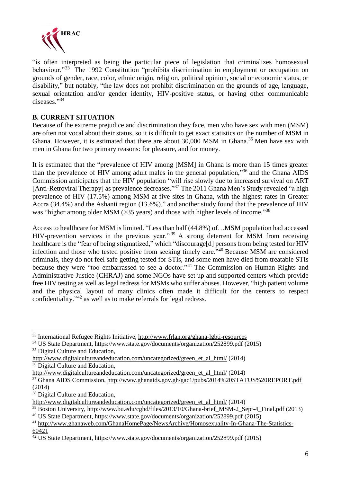

"is often interpreted as being the particular piece of legislation that criminalizes homosexual behaviour."<sup>33</sup> The 1992 Constitution "prohibits discrimination in employment or occupation on grounds of gender, race, color, ethnic origin, religion, political opinion, social or economic status, or disability," but notably, "the law does not prohibit discrimination on the grounds of age, language, sexual orientation and/or gender identity, HIV-positive status, or having other communicable diseases."34

### **B. CURRENT SITUATION**

Because of the extreme prejudice and discrimination they face, men who have sex with men (MSM) are often not vocal about their status, so it is difficult to get exact statistics on the number of MSM in Ghana. However, it is estimated that there are about 30,000 MSM in Ghana.<sup>35</sup> Men have sex with men in Ghana for two primary reasons: for pleasure, and for money.

It is estimated that the "prevalence of HIV among [MSM] in Ghana is more than 15 times greater than the prevalence of HIV among adult males in the general population,"<sup>36</sup> and the Ghana AIDS Commission anticipates that the HIV population "will rise slowly due to increased survival on ART [Anti-Retroviral Therapy] as prevalence decreases."<sup>37</sup> The 2011 Ghana Men's Study revealed "a high prevalence of HIV (17.5%) among MSM at five sites in Ghana, with the highest rates in Greater Accra (34.4%) and the Ashanti region (13.6%)," and another study found that the prevalence of HIV was "higher among older MSM (>35 years) and those with higher levels of income."<sup>38</sup>

Access to healthcare for MSM is limited. "Less than half (44.8%) of…MSM population had accessed HIV-prevention services in the previous year."<sup>39</sup> A strong deterrent for MSM from receiving healthcare is the "fear of being stigmatized," which "discourage[d] persons from being tested for HIV infection and those who tested positive from seeking timely care."<sup>40</sup> Because MSM are considered criminals, they do not feel safe getting tested for STIs, and some men have died from treatable STIs because they were "too embarrassed to see a doctor."<sup>41</sup> The Commission on Human Rights and Administrative Justice (CHRAJ) and some NGOs have set up and supported centers which provide free HIV testing as well as legal redress for MSMs who suffer abuses. However, "high patient volume and the physical layout of many clinics often made it difficult for the centers to respect confidentiality."<sup>42</sup> as well as to make referrals for legal redress.

<sup>38</sup> Digital Culture and Education,

1

<sup>&</sup>lt;sup>33</sup> International Refugee Rights Initiative, <http://www.frlan.org/ghana-lgbti-resources>

<sup>34</sup> US State Department, <https://www.state.gov/documents/organization/252899.pdf> (2015) <sup>35</sup> Digital Culture and Education,

[http://www.digitalcultureandeducation.com/uncategorized/green\\_et\\_al\\_html/](http://www.digitalcultureandeducation.com/uncategorized/green_et_al_html/) (2014) <sup>36</sup> Digital Culture and Education,

[http://www.digitalcultureandeducation.com/uncategorized/green\\_et\\_al\\_html/](http://www.digitalcultureandeducation.com/uncategorized/green_et_al_html/) (2014)

<sup>37</sup> Ghana AIDS Commission, <http://www.ghanaids.gov.gh/gac1/pubs/2014%20STATUS%20REPORT.pdf> (2014)

[http://www.digitalcultureandeducation.com/uncategorized/green\\_et\\_al\\_html/](http://www.digitalcultureandeducation.com/uncategorized/green_et_al_html/) (2014)

<sup>&</sup>lt;sup>39</sup> Boston University, [http://www.bu.edu/cghd/files/2013/10/Ghana-brief\\_MSM-2\\_Sept-4\\_Final.pdf](http://www.bu.edu/cghd/files/2013/10/Ghana-brief_MSM-2_Sept-4_Final.pdf) (2013)

<sup>40</sup> US State Department, <https://www.state.gov/documents/organization/252899.pdf> (2015)

<sup>41</sup> [http://www.ghanaweb.com/GhanaHomePage/NewsArchive/Homosexuality-In-Ghana-The-Statistics-](http://www.ghanaweb.com/GhanaHomePage/NewsArchive/Homosexuality-In-Ghana-The-Statistics-60421)[60421](http://www.ghanaweb.com/GhanaHomePage/NewsArchive/Homosexuality-In-Ghana-The-Statistics-60421)

 $\frac{42}{12}$  US State Department, <https://www.state.gov/documents/organization/252899.pdf> (2015)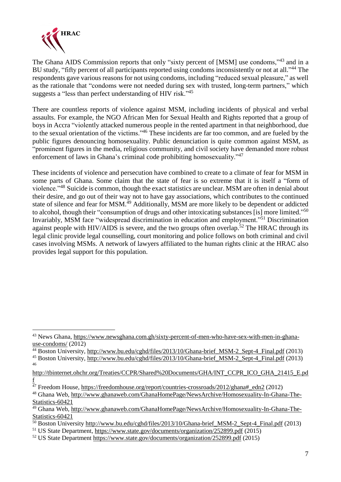

1

The Ghana AIDS Commission reports that only "sixty percent of [MSM] use condoms,"<sup>43</sup> and in a BU study, "fifty percent of all participants reported using condoms inconsistently or not at all."<sup>44</sup> The respondents gave various reasons for not using condoms, including "reduced sexual pleasure," as well as the rationale that "condoms were not needed during sex with trusted, long-term partners," which suggests a "less than perfect understanding of HIV risk."<sup>45</sup>

There are countless reports of violence against MSM, including incidents of physical and verbal assaults. For example, the NGO African Men for Sexual Health and Rights reported that a group of boys in Accra "violently attacked numerous people in the rented apartment in that neighborhood, due to the sexual orientation of the victims."<sup>46</sup> These incidents are far too common, and are fueled by the public figures denouncing homosexuality. Public denunciation is quite common against MSM, as "prominent figures in the media, religious community, and civil society have demanded more robust enforcement of laws in Ghana's criminal code prohibiting homosexuality."<sup>47</sup>

These incidents of violence and persecution have combined to create to a climate of fear for MSM in some parts of Ghana. Some claim that the state of fear is so extreme that it is itself a "form of violence."<sup>48</sup> Suicide is common, though the exact statistics are unclear. MSM are often in denial about their desire, and go out of their way not to have gay associations, which contributes to the continued state of silence and fear for MSM.<sup>49</sup> Additionally, MSM are more likely to be dependent or addicted to alcohol, though their "consumption of drugs and other intoxicating substances [is] more limited."<sup>50</sup> Invariably, MSM face "widespread discrimination in education and employment."<sup>51</sup> Discrimination against people with HIV/AIDS is severe, and the two groups often overlap.<sup>52</sup> The HRAC through its legal clinic provide legal counselling, court monitoring and police follows on both criminal and civil cases involving MSMs. A network of lawyers affiliated to the human rights clinic at the HRAC also provides legal support for this population.

<sup>43</sup> News Ghana, [https://www.newsghana.com.gh/sixty-percent-of-men-who-have-sex-with-men-in-ghana](https://www.newsghana.com.gh/sixty-percent-of-men-who-have-sex-with-men-in-ghana-use-condoms/)[use-condoms/](https://www.newsghana.com.gh/sixty-percent-of-men-who-have-sex-with-men-in-ghana-use-condoms/) $(2012)$ 

<sup>&</sup>lt;sup>44</sup> Boston University, [http://www.bu.edu/cghd/files/2013/10/Ghana-brief\\_MSM-2\\_Sept-4\\_Final.pdf](http://www.bu.edu/cghd/files/2013/10/Ghana-brief_MSM-2_Sept-4_Final.pdf) (2013)

<sup>&</sup>lt;sup>45</sup> Boston University, [http://www.bu.edu/cghd/files/2013/10/Ghana-brief\\_MSM-2\\_Sept-4\\_Final.pdf](http://www.bu.edu/cghd/files/2013/10/Ghana-brief_MSM-2_Sept-4_Final.pdf) (2013) 46

[http://tbinternet.ohchr.org/Treaties/CCPR/Shared%20Documents/GHA/INT\\_CCPR\\_ICO\\_GHA\\_21415\\_E.pd](http://tbinternet.ohchr.org/Treaties/CCPR/Shared%20Documents/GHA/INT_CCPR_ICO_GHA_21415_E.pdf) [f](http://tbinternet.ohchr.org/Treaties/CCPR/Shared%20Documents/GHA/INT_CCPR_ICO_GHA_21415_E.pdf)

<sup>&</sup>lt;sup>47</sup> Freedom House, [https://freedomhouse.org/report/countries-crossroads/2012/ghana#\\_edn2](https://freedomhouse.org/report/countries-crossroads/2012/ghana#_edn2) (2012)

<sup>48</sup> Ghana Web, [http://www.ghanaweb.com/GhanaHomePage/NewsArchive/Homosexuality-In-Ghana-The-](http://www.ghanaweb.com/GhanaHomePage/NewsArchive/Homosexuality-In-Ghana-The-Statistics-60421)[Statistics-60421](http://www.ghanaweb.com/GhanaHomePage/NewsArchive/Homosexuality-In-Ghana-The-Statistics-60421)

<sup>49</sup> Ghana Web, [http://www.ghanaweb.com/GhanaHomePage/NewsArchive/Homosexuality-In-Ghana-The-](http://www.ghanaweb.com/GhanaHomePage/NewsArchive/Homosexuality-In-Ghana-The-Statistics-60421)[Statistics-60421](http://www.ghanaweb.com/GhanaHomePage/NewsArchive/Homosexuality-In-Ghana-The-Statistics-60421)

 $\frac{50}{100}$  Boston University http://www.bu.edu/cghd/files/2013/10/Ghana-brief MSM-2 Sept-4 Final.pdf (2013)

<sup>51</sup> US State Department, <https://www.state.gov/documents/organization/252899.pdf> (2015)

<sup>52</sup> US State Department <https://www.state.gov/documents/organization/252899.pdf> (2015)